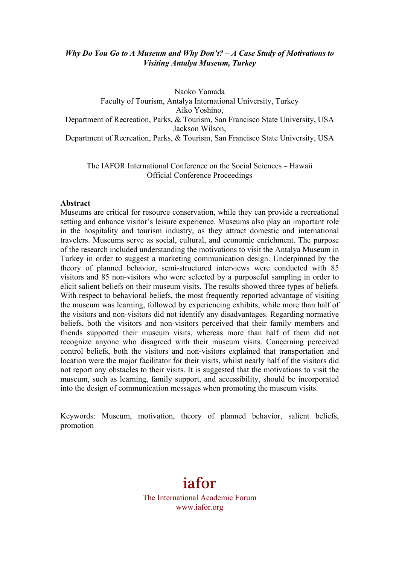# *Why Do You Go to A Museum and Why Don't? – A Case Study of Motivations to Visiting Antalya Museum, Turkey*

Naoko Yamada Faculty of Tourism, Antalya International University, Turkey Aiko Yoshino, Department of Recreation, Parks, & Tourism, San Francisco State University, USA Jackson Wilson, Department of Recreation, Parks, & Tourism, San Francisco State University, USA

The IAFOR International Conference on the Social Sciences – Hawaii Official Conference Proceedings

#### **Abstract**

Museums are critical for resource conservation, while they can provide a recreational setting and enhance visitor's leisure experience. Museums also play an important role in the hospitality and tourism industry, as they attract domestic and international travelers. Museums serve as social, cultural, and economic enrichment. The purpose of the research included understanding the motivations to visit the Antalya Museum in Turkey in order to suggest a marketing communication design. Underpinned by the theory of planned behavior, semi-structured interviews were conducted with 85 visitors and 85 non-visitors who were selected by a purposeful sampling in order to elicit salient beliefs on their museum visits. The results showed three types of beliefs. With respect to behavioral beliefs, the most frequently reported advantage of visiting the museum was learning, followed by experiencing exhibits, while more than half of the visitors and non-visitors did not identify any disadvantages. Regarding normative beliefs, both the visitors and non-visitors perceived that their family members and friends supported their museum visits, whereas more than half of them did not recognize anyone who disagreed with their museum visits. Concerning perceived control beliefs, both the visitors and non-visitors explained that transportation and location were the major facilitator for their visits, whilst nearly half of the visitors did not report any obstacles to their visits. It is suggested that the motivations to visit the museum, such as learning, family support, and accessibility, should be incorporated into the design of communication messages when promoting the museum visits.

Keywords: Museum, motivation, theory of planned behavior, salient beliefs, promotion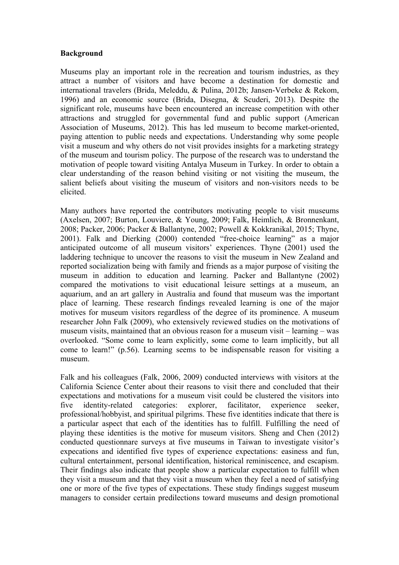### **Background**

Museums play an important role in the recreation and tourism industries, as they attract a number of visitors and have become a destination for domestic and international travelers (Brida, Meleddu, & Pulina, 2012b; Jansen-Verbeke & Rekom, 1996) and an economic source (Brida, Disegna, & Scuderi, 2013). Despite the significant role, museums have been encountered an increase competition with other attractions and struggled for governmental fund and public support (American Association of Museums, 2012). This has led museum to become market-oriented, paying attention to public needs and expectations. Understanding why some people visit a museum and why others do not visit provides insights for a marketing strategy of the museum and tourism policy. The purpose of the research was to understand the motivation of people toward visiting Antalya Museum in Turkey. In order to obtain a clear understanding of the reason behind visiting or not visiting the museum, the salient beliefs about visiting the museum of visitors and non-visitors needs to be elicited.

Many authors have reported the contributors motivating people to visit museums (Axelsen, 2007; Burton, Louviere, & Young, 2009; Falk, Heimlich, & Bronnenkant, 2008; Packer, 2006; Packer & Ballantyne, 2002; Powell & Kokkranikal, 2015; Thyne, 2001). Falk and Dierking (2000) contended "free-choice learning" as a major anticipated outcome of all museum visitors' experiences. Thyne (2001) used the laddering technique to uncover the reasons to visit the museum in New Zealand and reported socialization being with family and friends as a major purpose of visiting the museum in addition to education and learning. Packer and Ballantyne (2002) compared the motivations to visit educational leisure settings at a museum, an aquarium, and an art gallery in Australia and found that museum was the important place of learning. These research findings revealed learning is one of the major motives for museum visitors regardless of the degree of its prominence. A museum researcher John Falk (2009), who extensively reviewed studies on the motivations of museum visits, maintained that an obvious reason for a museum visit – learning – was overlooked. "Some come to learn explicitly, some come to learn implicitly, but all come to learn!" (p.56). Learning seems to be indispensable reason for visiting a museum.

Falk and his colleagues (Falk, 2006, 2009) conducted interviews with visitors at the California Science Center about their reasons to visit there and concluded that their expectations and motivations for a museum visit could be clustered the visitors into five identity-related categories: explorer, facilitator, experience seeker, professional/hobbyist, and spiritual pilgrims. These five identities indicate that there is a particular aspect that each of the identities has to fulfill. Fulfilling the need of playing these identities is the motive for museum visitors. Sheng and Chen (2012) conducted questionnare surveys at five museums in Taiwan to investigate visitor's expecations and identified five types of experience expectations: easiness and fun, cultural entertainment, personal identification, historical reminiscence, and escapism. Their findings also indicate that people show a particular expectation to fulfill when they visit a museum and that they visit a museum when they feel a need of satisfying one or more of the five types of expectations. These study findings suggest museum managers to consider certain predilections toward museums and design promotional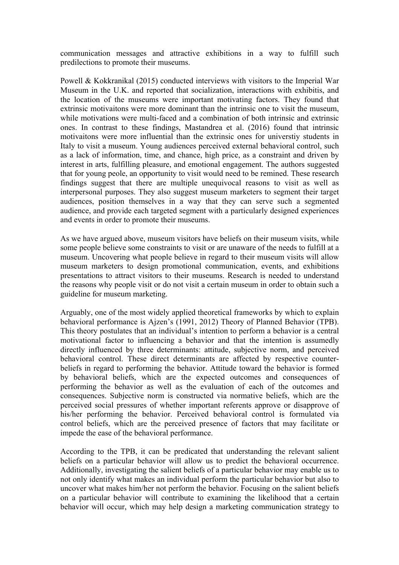communication messages and attractive exhibitions in a way to fulfill such predilections to promote their museums.

Powell & Kokkranikal (2015) conducted interviews with visitors to the Imperial War Museum in the U.K. and reported that socialization, interactions with exhibitis, and the location of the museums were important motivating factors. They found that extrinsic motivaitons were more dominant than the intrinsic one to visit the museum, while motivations were multi-faced and a combination of both intrinsic and extrinsic ones. In contrast to these findings, Mastandrea et al. (2016) found that intrinsic motivaitons were more influential than the extrinsic ones for universtiy students in Italy to visit a museum. Young audiences perceived external behavioral control, such as a lack of information, time, and chance, high price, as a constraint and driven by interest in arts, fulfilling pleasure, and emotional engagement. The authors suggested that for young peole, an opportunity to visit would need to be remined. These research findings suggest that there are multiple unequivocal reasons to visit as well as interpersonal purposes. They also suggest museum marketers to segment their target audiences, position themselves in a way that they can serve such a segmented audience, and provide each targeted segment with a particularly designed experiences and events in order to promote their museums.

As we have argued above, museum visitors have beliefs on their museum visits, while some people believe some constraints to visit or are unaware of the needs to fulfill at a museum. Uncovering what people believe in regard to their museum visits will allow museum marketers to design promotional communication, events, and exhibitions presentations to attract visitors to their museums. Research is needed to understand the reasons why people visit or do not visit a certain museum in order to obtain such a guideline for museum marketing.

Arguably, one of the most widely applied theoretical frameworks by which to explain behavioral performance is Ajzen's (1991, 2012) Theory of Planned Behavior (TPB). This theory postulates that an individual's intention to perform a behavior is a central motivational factor to influencing a behavior and that the intention is assumedly directly influenced by three determinants: attitude, subjective norm, and perceived behavioral control. These direct determinants are affected by respective counterbeliefs in regard to performing the behavior. Attitude toward the behavior is formed by behavioral beliefs, which are the expected outcomes and consequences of performing the behavior as well as the evaluation of each of the outcomes and consequences. Subjective norm is constructed via normative beliefs, which are the perceived social pressures of whether important referents approve or disapprove of his/her performing the behavior. Perceived behavioral control is formulated via control beliefs, which are the perceived presence of factors that may facilitate or impede the ease of the behavioral performance.

According to the TPB, it can be predicated that understanding the relevant salient beliefs on a particular behavior will allow us to predict the behavioral occurrence. Additionally, investigating the salient beliefs of a particular behavior may enable us to not only identify what makes an individual perform the particular behavior but also to uncover what makes him/her not perform the behavior. Focusing on the salient beliefs on a particular behavior will contribute to examining the likelihood that a certain behavior will occur, which may help design a marketing communication strategy to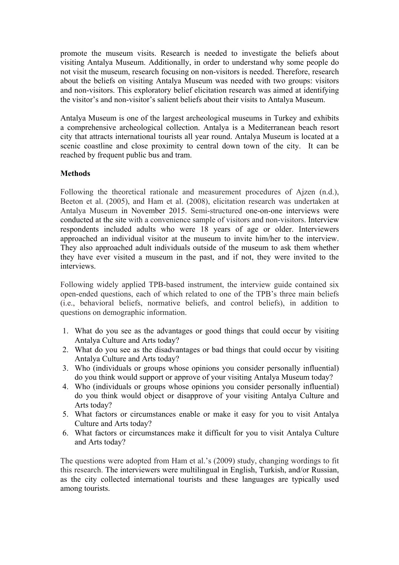promote the museum visits. Research is needed to investigate the beliefs about visiting Antalya Museum. Additionally, in order to understand why some people do not visit the museum, research focusing on non-visitors is needed. Therefore, research about the beliefs on visiting Antalya Museum was needed with two groups: visitors and non-visitors. This exploratory belief elicitation research was aimed at identifying the visitor's and non-visitor's salient beliefs about their visits to Antalya Museum.

Antalya Museum is one of the largest archeological museums in Turkey and exhibits a comprehensive archeological collection. Antalya is a Mediterranean beach resort city that attracts international tourists all year round. Antalya Museum is located at a scenic coastline and close proximity to central down town of the city. It can be reached by frequent public bus and tram.

### **Methods**

Following the theoretical rationale and measurement procedures of Ajzen (n.d.), Beeton et al. (2005), and Ham et al. (2008), elicitation research was undertaken at Antalya Museum in November 2015. Semi-structured one-on-one interviews were conducted at the site with a convenience sample of visitors and non-visitors. Interview respondents included adults who were 18 years of age or older. Interviewers approached an individual visitor at the museum to invite him/her to the interview. They also approached adult individuals outside of the museum to ask them whether they have ever visited a museum in the past, and if not, they were invited to the interviews.

Following widely applied TPB-based instrument, the interview guide contained six open-ended questions, each of which related to one of the TPB's three main beliefs (i.e., behavioral beliefs, normative beliefs, and control beliefs), in addition to questions on demographic information.

- 1. What do you see as the advantages or good things that could occur by visiting Antalya Culture and Arts today?
- 2. What do you see as the disadvantages or bad things that could occur by visiting Antalya Culture and Arts today?
- 3. Who (individuals or groups whose opinions you consider personally influential) do you think would support or approve of your visiting Antalya Museum today?
- 4. Who (individuals or groups whose opinions you consider personally influential) do you think would object or disapprove of your visiting Antalya Culture and Arts today?
- 5. What factors or circumstances enable or make it easy for you to visit Antalya Culture and Arts today?
- 6. What factors or circumstances make it difficult for you to visit Antalya Culture and Arts today?

The questions were adopted from Ham et al.'s (2009) study, changing wordings to fit this research. The interviewers were multilingual in English, Turkish, and/or Russian, as the city collected international tourists and these languages are typically used among tourists.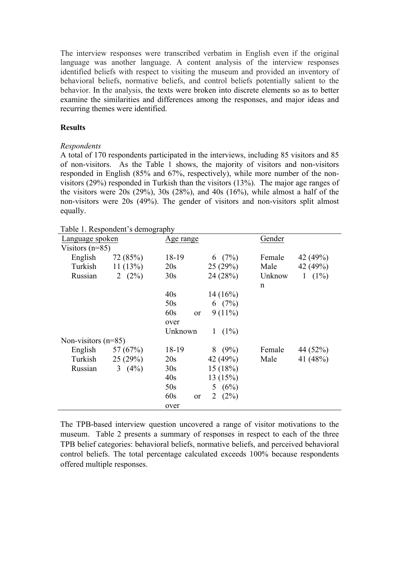The interview responses were transcribed verbatim in English even if the original language was another language. A content analysis of the interview responses identified beliefs with respect to visiting the museum and provided an inventory of behavioral beliefs, normative beliefs, and control beliefs potentially salient to the behavior. In the analysis, the texts were broken into discrete elements so as to better examine the similarities and differences among the responses, and major ideas and recurring themes were identified.

### **Results**

### *Respondents*

A total of 170 respondents participated in the interviews, including 85 visitors and 85 of non-visitors. As the Table 1 shows, the majority of visitors and non-visitors responded in English (85% and 67%, respectively), while more number of the nonvisitors (29%) responded in Turkish than the visitors (13%). The major age ranges of the visitors were 20s (29%), 30s (28%), and 40s (16%), while almost a half of the non-visitors were 20s (49%). The gender of visitors and non-visitors split almost equally.

Table 1. Respondent's demography

| Table 1. Respondent's demography |            |                      |                         |              |           |  |  |  |
|----------------------------------|------------|----------------------|-------------------------|--------------|-----------|--|--|--|
| Language spoken                  |            | Age range            |                         |              | Gender    |  |  |  |
| Visitors $(n=85)$                |            |                      |                         |              |           |  |  |  |
| English                          | 72 (85%)   | 18-19                | 6 $(7%)$                | Female       | 42 (49%)  |  |  |  |
| Turkish                          | 11(13%)    | 20s                  | 25(29%)                 | Male         | 42 (49%)  |  |  |  |
| Russian                          | 2 $(2%)$   | 30s                  | 24(28%)                 | Unknow       | 1 $(1\%)$ |  |  |  |
|                                  |            |                      |                         | $\mathsf{n}$ |           |  |  |  |
|                                  |            | 40s                  | $14(16\%)$              |              |           |  |  |  |
|                                  |            | 50s                  | 6 $(7%)$                |              |           |  |  |  |
|                                  |            | 60s<br><sub>or</sub> | $9(11\%)$               |              |           |  |  |  |
|                                  |            | over                 |                         |              |           |  |  |  |
|                                  |            | Unknown              | $(1\%)$<br>$\mathbf{1}$ |              |           |  |  |  |
| Non-visitors $(n=85)$            |            |                      |                         |              |           |  |  |  |
| English                          | 57 $(67%)$ | 18-19                | 8(9%)                   | Female       | 44 (52%)  |  |  |  |
| Turkish                          | 25(29%)    | 20s                  | 42 (49%)                | Male         | 41 (48%)  |  |  |  |
| Russian                          | 3 $(4\%)$  | 30s                  | 15(18%)                 |              |           |  |  |  |
|                                  |            | 40s                  | 13(15%)                 |              |           |  |  |  |
|                                  |            | 50s                  | 5 $(6%)$                |              |           |  |  |  |
|                                  |            | 60s<br><sub>or</sub> | 2 $(2%)$                |              |           |  |  |  |
|                                  |            | over                 |                         |              |           |  |  |  |

The TPB-based interview question uncovered a range of visitor motivations to the museum. Table 2 presents a summary of responses in respect to each of the three TPB belief categories: behavioral beliefs, normative beliefs, and perceived behavioral control beliefs. The total percentage calculated exceeds 100% because respondents offered multiple responses.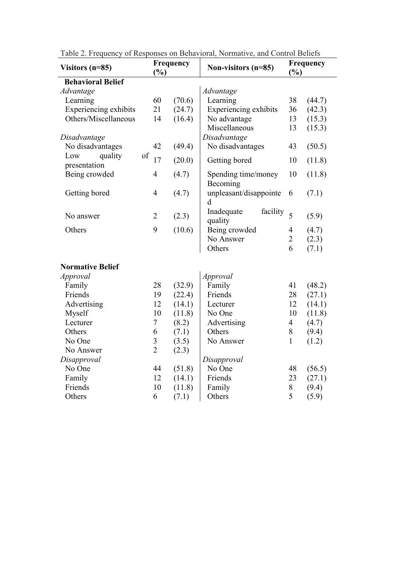| Visitors $(n=85)$        | Frequency<br>$\frac{6}{6}$ |                  | Non-visitors $(n=85)$             | Frequency<br>$\frac{6}{6}$ |                  |
|--------------------------|----------------------------|------------------|-----------------------------------|----------------------------|------------------|
| <b>Behavioral Belief</b> |                            |                  |                                   |                            |                  |
| Advantage                |                            |                  | Advantage                         |                            |                  |
| Learning                 | 60                         | (70.6)           | Learning                          | 38                         | (44.7)           |
| Experiencing exhibits    | 21                         | (24.7)           | Experiencing exhibits             | 36                         | (42.3)           |
| Others/Miscellaneous     | 14                         | (16.4)           | No advantage                      | 13                         | (15.3)           |
|                          |                            |                  | Miscellaneous                     | 13                         | (15.3)           |
| Disadvantage             |                            |                  | Disadvantage                      |                            |                  |
| No disadvantages         | 42                         | (49.4)           | No disadvantages                  | 43                         | (50.5)           |
| of<br>Low<br>quality     | 17                         | (20.0)           | Getting bored                     | 10                         | (11.8)           |
| presentation             |                            |                  |                                   |                            |                  |
| Being crowded            | $\overline{4}$             | (4.7)            | Spending time/money<br>Becoming   | 10                         | (11.8)           |
| Getting bored            | $\overline{4}$             | (4.7)            | unpleasant/disappointe<br>d       | 6                          | (7.1)            |
| No answer                | $\overline{2}$             | (2.3)            | Inadequate<br>facility<br>quality | 5                          | (5.9)            |
| Others                   | 9                          | (10.6)           | Being crowded                     | $\overline{4}$             | (4.7)            |
|                          |                            |                  | No Answer                         | $\overline{2}$             | (2.3)            |
|                          |                            |                  | Others                            | 6                          | (7.1)            |
|                          |                            |                  |                                   |                            |                  |
| <b>Normative Belief</b>  |                            |                  |                                   |                            |                  |
| Approval                 |                            |                  | Approval                          |                            |                  |
| Family<br>Friends        | 28<br>19                   | (32.9)           | Family<br>Friends                 | 41                         | (48.2)           |
|                          | 12                         | (22.4)           | Lecturer                          | 28<br>12                   | (27.1)           |
| Advertising<br>Myself    | 10                         | (14.1)<br>(11.8) | No One                            | 10                         | (14.1)<br>(11.8) |
| Lecturer                 | $\boldsymbol{7}$           | (8.2)            | Advertising                       | $\overline{4}$             | (4.7)            |
| Others                   | 6                          | (7.1)            | Others                            | 8                          | (9.4)            |
| No One                   | $\overline{\mathbf{3}}$    | (3.5)            | No Answer                         | $\mathbf{1}$               | (1.2)            |
| No Answer                | $\overline{2}$             | (2.3)            |                                   |                            |                  |
| Disapproval              |                            | Disapproval      |                                   |                            |                  |
| No One                   | 44                         | (51.8)           | No One                            | 48                         | (56.5)           |
| Family                   | 12                         | (14.1)           | Friends                           | 23                         | (27.1)           |
| Friends                  | 10                         | (11.8)           | Family                            | 8                          | (9.4)            |
| Others                   | 6                          | (7.1)            | Others                            | 5                          | (5.9)            |
|                          |                            |                  |                                   |                            |                  |

Table 2. Frequency of Responses on Behavioral, Normative, and Control Beliefs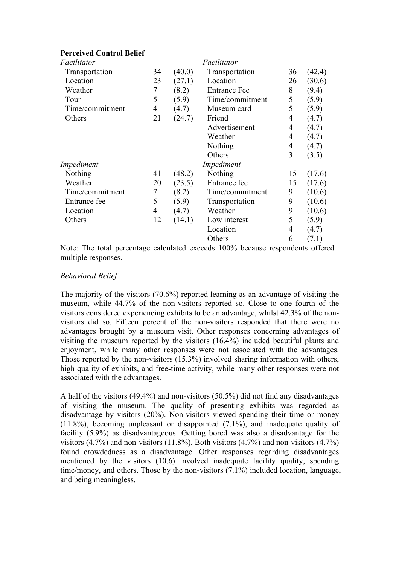# **Perceived Control Belief**

| Facilitator     |                |        | Facilitator         |    |        |
|-----------------|----------------|--------|---------------------|----|--------|
| Transportation  | 34             | (40.0) | Transportation      | 36 | (42.4) |
| Location        | 23             | (27.1) | Location            | 26 | (30.6) |
| 7<br>Weather    |                | (8.2)  | <b>Entrance Fee</b> | 8  | (9.4)  |
| 5<br>Tour       |                | (5.9)  | Time/commitment     | 5  | (5.9)  |
| Time/commitment | $\overline{4}$ | (4.7)  | Museum card         | 5  | (5.9)  |
| Others          | 21             | (24.7) | Friend              | 4  | (4.7)  |
|                 |                |        | Advertisement       | 4  | (4.7)  |
|                 |                |        | Weather             | 4  | (4.7)  |
|                 |                |        | Nothing             | 4  | (4.7)  |
|                 |                |        | Others              | 3  | (3.5)  |
| Impediment      |                |        | Impediment          |    |        |
| Nothing         | 41             | (48.2) | Nothing             | 15 | (17.6) |
| Weather         | 20             | (23.5) | Entrance fee        | 15 | (17.6) |
| Time/commitment | 7              | (8.2)  | Time/commitment     | 9  | (10.6) |
| Entrance fee    | 5              | (5.9)  | Transportation      | 9  | (10.6) |
| Location        | $\overline{4}$ | (4.7)  | Weather             | 9  | (10.6) |
| Others          | 12             | (14.1) | Low interest        | 5  | (5.9)  |
|                 |                |        | Location            | 4  | (4.7)  |
|                 |                |        | Others              | 6  | (7.1)  |

Note: The total percentage calculated exceeds 100% because respondents offered multiple responses.

### *Behavioral Belief*

The majority of the visitors (70.6%) reported learning as an advantage of visiting the museum, while 44.7% of the non-visitors reported so. Close to one fourth of the visitors considered experiencing exhibits to be an advantage, whilst 42.3% of the nonvisitors did so. Fifteen percent of the non-visitors responded that there were no advantages brought by a museum visit. Other responses concerning advantages of visiting the museum reported by the visitors (16.4%) included beautiful plants and enjoyment, while many other responses were not associated with the advantages. Those reported by the non-visitors (15.3%) involved sharing information with others, high quality of exhibits, and free-time activity, while many other responses were not associated with the advantages.

A half of the visitors (49.4%) and non-visitors (50.5%) did not find any disadvantages of visiting the museum. The quality of presenting exhibits was regarded as disadvantage by visitors (20%). Non-visitors viewed spending their time or money (11.8%), becoming unpleasant or disappointed (7.1%), and inadequate quality of facility (5.9%) as disadvantageous. Getting bored was also a disadvantage for the visitors  $(4.7\%)$  and non-visitors  $(11.8\%)$ . Both visitors  $(4.7\%)$  and non-visitors  $(4.7\%)$ found crowdedness as a disadvantage. Other responses regarding disadvantages mentioned by the visitors (10.6) involved inadequate facility quality, spending time/money, and others. Those by the non-visitors (7.1%) included location, language, and being meaningless.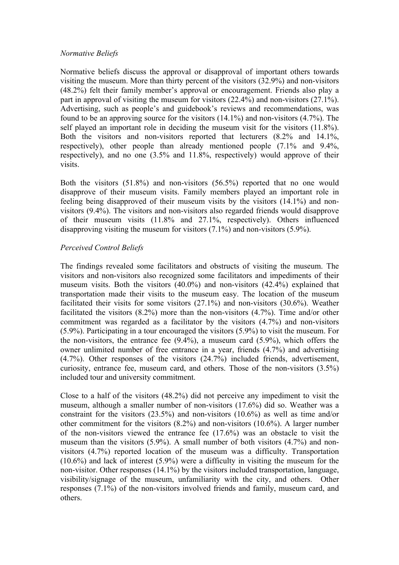### *Normative Beliefs*

Normative beliefs discuss the approval or disapproval of important others towards visiting the museum. More than thirty percent of the visitors (32.9%) and non-visitors (48.2%) felt their family member's approval or encouragement. Friends also play a part in approval of visiting the museum for visitors (22.4%) and non-visitors (27.1%). Advertising, such as people's and guidebook's reviews and recommendations, was found to be an approving source for the visitors (14.1%) and non-visitors (4.7%). The self played an important role in deciding the museum visit for the visitors (11.8%). Both the visitors and non-visitors reported that lecturers (8.2% and 14.1%, respectively), other people than already mentioned people (7.1% and 9.4%, respectively), and no one (3.5% and 11.8%, respectively) would approve of their visits.

Both the visitors (51.8%) and non-visitors (56.5%) reported that no one would disapprove of their museum visits. Family members played an important role in feeling being disapproved of their museum visits by the visitors (14.1%) and nonvisitors (9.4%). The visitors and non-visitors also regarded friends would disapprove of their museum visits (11.8% and 27.1%, respectively). Others influenced disapproving visiting the museum for visitors (7.1%) and non-visitors (5.9%).

# *Perceived Control Beliefs*

The findings revealed some facilitators and obstructs of visiting the museum. The visitors and non-visitors also recognized some facilitators and impediments of their museum visits. Both the visitors (40.0%) and non-visitors (42.4%) explained that transportation made their visits to the museum easy. The location of the museum facilitated their visits for some visitors (27.1%) and non-visitors (30.6%). Weather facilitated the visitors (8.2%) more than the non-visitors (4.7%). Time and/or other commitment was regarded as a facilitator by the visitors (4.7%) and non-visitors (5.9%). Participating in a tour encouraged the visitors (5.9%) to visit the museum. For the non-visitors, the entrance fee (9.4%), a museum card (5.9%), which offers the owner unlimited number of free entrance in a year, friends (4.7%) and advertising (4.7%). Other responses of the visitors (24.7%) included friends, advertisement, curiosity, entrance fee, museum card, and others. Those of the non-visitors (3.5%) included tour and university commitment.

Close to a half of the visitors (48.2%) did not perceive any impediment to visit the museum, although a smaller number of non-visitors (17.6%) did so. Weather was a constraint for the visitors (23.5%) and non-visitors (10.6%) as well as time and/or other commitment for the visitors  $(8.2%)$  and non-visitors  $(10.6%)$ . A larger number of the non-visitors viewed the entrance fee (17.6%) was an obstacle to visit the museum than the visitors (5.9%). A small number of both visitors (4.7%) and nonvisitors (4.7%) reported location of the museum was a difficulty. Transportation (10.6%) and lack of interest (5.9%) were a difficulty in visiting the museum for the non-visitor. Other responses (14.1%) by the visitors included transportation, language, visibility/signage of the museum, unfamiliarity with the city, and others. Other responses (7.1%) of the non-visitors involved friends and family, museum card, and others.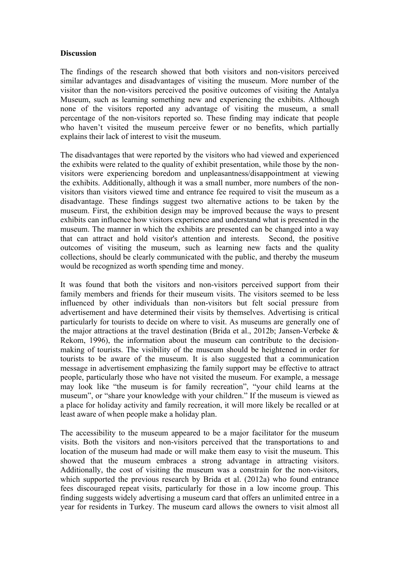#### **Discussion**

The findings of the research showed that both visitors and non-visitors perceived similar advantages and disadvantages of visiting the museum. More number of the visitor than the non-visitors perceived the positive outcomes of visiting the Antalya Museum, such as learning something new and experiencing the exhibits. Although none of the visitors reported any advantage of visiting the museum, a small percentage of the non-visitors reported so. These finding may indicate that people who haven't visited the museum perceive fewer or no benefits, which partially explains their lack of interest to visit the museum.

The disadvantages that were reported by the visitors who had viewed and experienced the exhibits were related to the quality of exhibit presentation, while those by the nonvisitors were experiencing boredom and unpleasantness/disappointment at viewing the exhibits. Additionally, although it was a small number, more numbers of the nonvisitors than visitors viewed time and entrance fee required to visit the museum as a disadvantage. These findings suggest two alternative actions to be taken by the museum. First, the exhibition design may be improved because the ways to present exhibits can influence how visitors experience and understand what is presented in the museum. The manner in which the exhibits are presented can be changed into a way that can attract and hold visitor's attention and interests. Second, the positive outcomes of visiting the museum, such as learning new facts and the quality collections, should be clearly communicated with the public, and thereby the museum would be recognized as worth spending time and money.

It was found that both the visitors and non-visitors perceived support from their family members and friends for their museum visits. The visitors seemed to be less influenced by other individuals than non-visitors but felt social pressure from advertisement and have determined their visits by themselves. Advertising is critical particularly for tourists to decide on where to visit. As museums are generally one of the major attractions at the travel destination (Brida et al., 2012b; Jansen-Verbeke & Rekom, 1996), the information about the museum can contribute to the decisionmaking of tourists. The visibility of the museum should be heightened in order for tourists to be aware of the museum. It is also suggested that a communication message in advertisement emphasizing the family support may be effective to attract people, particularly those who have not visited the museum. For example, a message may look like "the museum is for family recreation", "your child learns at the museum", or "share your knowledge with your children." If the museum is viewed as a place for holiday activity and family recreation, it will more likely be recalled or at least aware of when people make a holiday plan.

The accessibility to the museum appeared to be a major facilitator for the museum visits. Both the visitors and non-visitors perceived that the transportations to and location of the museum had made or will make them easy to visit the museum. This showed that the museum embraces a strong advantage in attracting visitors. Additionally, the cost of visiting the museum was a constrain for the non-visitors, which supported the previous research by Brida et al. (2012a) who found entrance fees discouraged repeat visits, particularly for those in a low income group. This finding suggests widely advertising a museum card that offers an unlimited entree in a year for residents in Turkey. The museum card allows the owners to visit almost all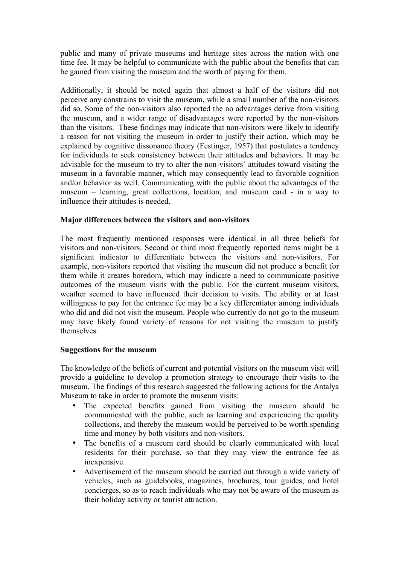public and many of private museums and heritage sites across the nation with one time fee. It may be helpful to communicate with the public about the benefits that can be gained from visiting the museum and the worth of paying for them.

Additionally, it should be noted again that almost a half of the visitors did not perceive any constrains to visit the museum, while a small number of the non-visitors did so. Some of the non-visitors also reported the no advantages derive from visiting the museum, and a wider range of disadvantages were reported by the non-visitors than the visitors. These findings may indicate that non-visitors were likely to identify a reason for not visiting the museum in order to justify their action, which may be explained by cognitive dissonance theory (Festinger, 1957) that postulates a tendency for individuals to seek consistency between their attitudes and behaviors. It may be advisable for the museum to try to alter the non-visitors' attitudes toward visiting the museum in a favorable manner, which may consequently lead to favorable cognition and/or behavior as well. Communicating with the public about the advantages of the museum – learning, great collections, location, and museum card - in a way to influence their attitudes is needed.

#### **Major differences between the visitors and non-visitors**

The most frequently mentioned responses were identical in all three beliefs for visitors and non-visitors. Second or third most frequently reported items might be a significant indicator to differentiate between the visitors and non-visitors. For example, non-visitors reported that visiting the museum did not produce a benefit for them while it creates boredom, which may indicate a need to communicate positive outcomes of the museum visits with the public. For the current museum visitors, weather seemed to have influenced their decision to visits. The ability or at least willingness to pay for the entrance fee may be a key differentiator among individuals who did and did not visit the museum. People who currently do not go to the museum may have likely found variety of reasons for not visiting the museum to justify themselves.

#### **Suggestions for the museum**

The knowledge of the beliefs of current and potential visitors on the museum visit will provide a guideline to develop a promotion strategy to encourage their visits to the museum. The findings of this research suggested the following actions for the Antalya Museum to take in order to promote the museum visits:

- The expected benefits gained from visiting the museum should be communicated with the public, such as learning and experiencing the quality collections, and thereby the museum would be perceived to be worth spending time and money by both visitors and non-visitors.
- The benefits of a museum card should be clearly communicated with local residents for their purchase, so that they may view the entrance fee as inexpensive.
- Advertisement of the museum should be carried out through a wide variety of vehicles, such as guidebooks, magazines, brochures, tour guides, and hotel concierges, so as to reach individuals who may not be aware of the museum as their holiday activity or tourist attraction.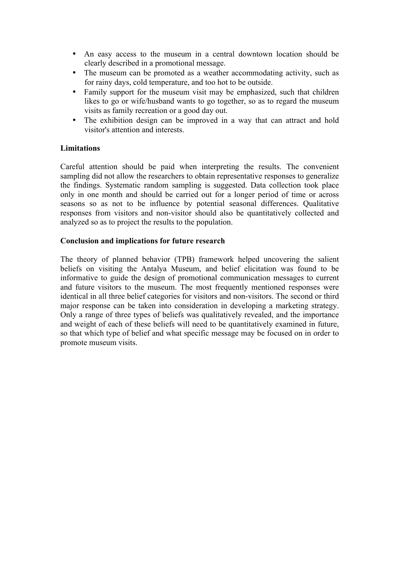- An easy access to the museum in a central downtown location should be clearly described in a promotional message.
- The museum can be promoted as a weather accommodating activity, such as for rainy days, cold temperature, and too hot to be outside.
- Family support for the museum visit may be emphasized, such that children likes to go or wife/husband wants to go together, so as to regard the museum visits as family recreation or a good day out.
- The exhibition design can be improved in a way that can attract and hold visitor's attention and interests.

# **Limitations**

Careful attention should be paid when interpreting the results. The convenient sampling did not allow the researchers to obtain representative responses to generalize the findings. Systematic random sampling is suggested. Data collection took place only in one month and should be carried out for a longer period of time or across seasons so as not to be influence by potential seasonal differences. Qualitative responses from visitors and non-visitor should also be quantitatively collected and analyzed so as to project the results to the population.

# **Conclusion and implications for future research**

The theory of planned behavior (TPB) framework helped uncovering the salient beliefs on visiting the Antalya Museum, and belief elicitation was found to be informative to guide the design of promotional communication messages to current and future visitors to the museum. The most frequently mentioned responses were identical in all three belief categories for visitors and non-visitors. The second or third major response can be taken into consideration in developing a marketing strategy. Only a range of three types of beliefs was qualitatively revealed, and the importance and weight of each of these beliefs will need to be quantitatively examined in future, so that which type of belief and what specific message may be focused on in order to promote museum visits.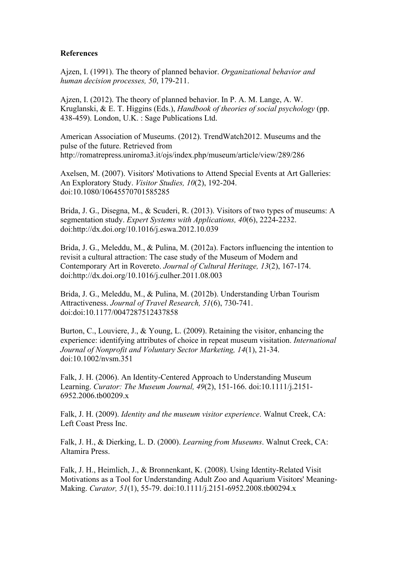#### **References**

Ajzen, I. (1991). The theory of planned behavior. *Organizational behavior and human decision processes, 50*, 179-211.

Ajzen, I. (2012). The theory of planned behavior. In P. A. M. Lange, A. W. Kruglanski, & E. T. Higgins (Eds.), *Handbook of theories of social psychology* (pp. 438-459). London, U.K. : Sage Publications Ltd.

American Association of Museums. (2012). TrendWatch2012. Museums and the pulse of the future. Retrieved from http://romatrepress.uniroma3.it/ojs/index.php/museum/article/view/289/286

Axelsen, M. (2007). Visitors' Motivations to Attend Special Events at Art Galleries: An Exploratory Study. *Visitor Studies, 10*(2), 192-204. doi:10.1080/10645570701585285

Brida, J. G., Disegna, M., & Scuderi, R. (2013). Visitors of two types of museums: A segmentation study. *Expert Systems with Applications, 40*(6), 2224-2232. doi:http://dx.doi.org/10.1016/j.eswa.2012.10.039

Brida, J. G., Meleddu, M., & Pulina, M. (2012a). Factors influencing the intention to revisit a cultural attraction: The case study of the Museum of Modern and Contemporary Art in Rovereto. *Journal of Cultural Heritage, 13*(2), 167-174. doi:http://dx.doi.org/10.1016/j.culher.2011.08.003

Brida, J. G., Meleddu, M., & Pulina, M. (2012b). Understanding Urban Tourism Attractiveness. *Journal of Travel Research, 51*(6), 730-741. doi:doi:10.1177/0047287512437858

Burton, C., Louviere, J., & Young, L. (2009). Retaining the visitor, enhancing the experience: identifying attributes of choice in repeat museum visitation. *International Journal of Nonprofit and Voluntary Sector Marketing, 14*(1), 21-34. doi:10.1002/nvsm.351

Falk, J. H. (2006). An Identity-Centered Approach to Understanding Museum Learning. *Curator: The Museum Journal, 49*(2), 151-166. doi:10.1111/j.2151- 6952.2006.tb00209.x

Falk, J. H. (2009). *Identity and the museum visitor experience*. Walnut Creek, CA: Left Coast Press Inc.

Falk, J. H., & Dierking, L. D. (2000). *Learning from Museums*. Walnut Creek, CA: Altamira Press.

Falk, J. H., Heimlich, J., & Bronnenkant, K. (2008). Using Identity-Related Visit Motivations as a Tool for Understanding Adult Zoo and Aquarium Visitors' Meaning-Making. *Curator, 51*(1), 55-79. doi:10.1111/j.2151-6952.2008.tb00294.x